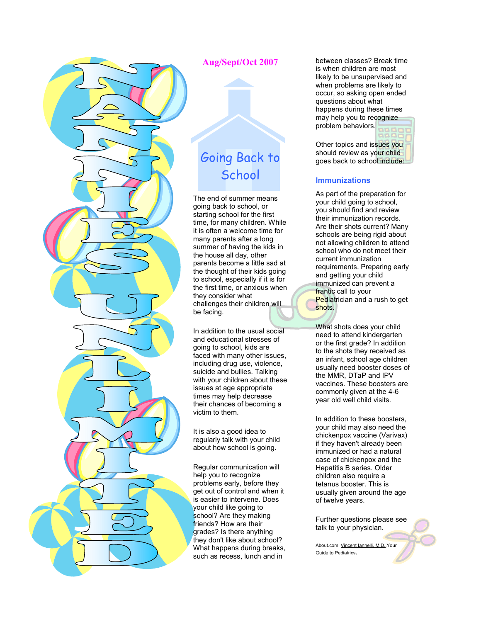

### Aug/Sept/Oct 2007

# Going Back to **School**

The end of summer means going back to school, or starting school for the first time, for many children. While it is often a welcome time for many parents after a long summer of having the kids in the house all day, other parents become a little sad at the thought of their kids going to school, especially if it is for the first time, or anxious when they consider what challenges their children will be facing.

In addition to the usual social and educational stresses of going to school, kids are faced with many other issues, including drug use, violence, suicide and bullies. Talking with your children about these issues at age appropriate times may help decrease their chances of becoming a victim to them.

It is also a good idea to regularly talk with your child about how school is going.

Regular communication will help you to recognize problems early, before they get out of control and when it is easier to intervene. Does your child like going to school? Are they making friends? How are their grades? Is there anything they don't like about school? What happens during breaks, such as recess, lunch and in

between classes? Break time is when children are most likely to be unsupervised and when problems are likely to occur, so asking open ended questions about what happens during these times may help you to recognize problem behaviors.

Other topics and issues you should review as your child goes back to school include:

#### **Immunizations**

As part of the preparation for your child going to school, you should find and review their immunization records. Are their shots current? Many schools are being rigid about not allowing children to attend school who do not meet their current immunization requirements. Preparing early and getting your child immunized can prevent a frantic call to your Pediatrician and a rush to get shots.

What shots does your child need to attend kindergarten or the first grade? In addition to the shots they received as an infant, school age children usually need booster doses of the MMR, DTaP and IPV vaccines. These boosters are commonly given at the 4-6 year old well child visits.

In addition to these boosters, your child may also need the chickenpox vaccine (Varivax) if they haven't already been immunized or had a natural case of chickenpox and the Hepatitis B series. Older children also require a tetanus booster. This is usually given around the age of twelve years.

Further questions please see talk to your physician.

About.com Vincent Iannelli, M.D.,Your Guide to Pediatrics.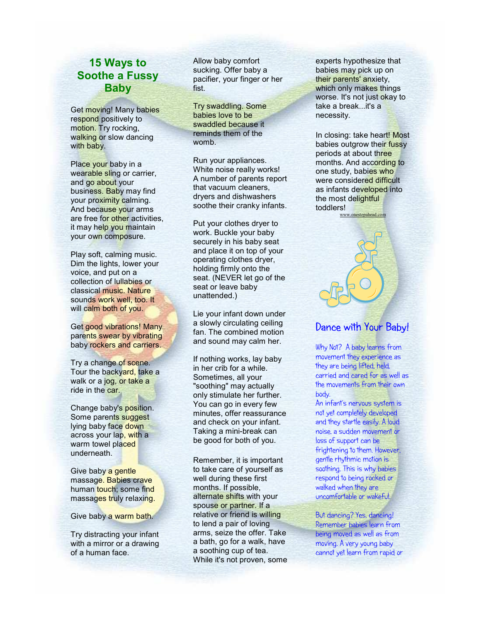# 15 Ways to Soothe a Fussy Baby

Get moving! Many babies respond positively to motion. Try rocking, walking or slow dancing with baby.

Place your baby in a wearable sling or carrier, and go about your business. Baby may find your proximity calming. And because your arms are free for other activities, it may help you maintain your own composure.

Play soft, calming music. Dim the lights, lower your voice, and put on a collection of lullabies or classical music. Nature sounds work well, too. It will calm both of you.

Get good vibrations! Many parents swear by vibrating baby rockers and carriers.

Try a change of scene. Tour the backyard, take a walk or a jog, or take a ride in the car.

Change baby's position. Some parents suggest lying baby face down across your lap, with a warm towel placed underneath.

Give baby a gentle massage. Babies crave human touch; some find massages truly relaxing.

Give baby a warm bath.

Try distracting your infant with a mirror or a drawing of a human face.

Allow baby comfort sucking. Offer baby a pacifier, your finger or her fist.

Try swaddling. Some babies love to be swaddled because it reminds them of the womb.

Run your appliances. White noise really works! A number of parents report that vacuum cleaners, dryers and dishwashers soothe their cranky infants.

Put your clothes dryer to work. Buckle your baby securely in his baby seat and place it on top of your operating clothes dryer, holding firmly onto the seat. (NEVER let go of the seat or leave baby unattended.)

Lie your infant down under a slowly circulating ceiling fan. The combined motion and sound may calm her.

If nothing works, lay baby in her crib for a while. Sometimes, all your "soothing" may actually only stimulate her further. You can go in every few minutes, offer reassurance and check on your infant. Taking a mini-break can be good for both of you.

Remember, it is important to take care of yourself as well during these first months. If possible, alternate shifts with your spouse or partner. If a relative or friend is willing to lend a pair of loving arms, seize the offer. Take a bath, go for a walk, have a soothing cup of tea. While it's not proven, some experts hypothesize that babies may pick up on their parents' anxiety, which only makes things worse. It's not just okay to take a break...it's a necessity.

In closing: take heart! Most babies outgrow their fussy periods at about three months. And according to one study, babies who were considered difficult as infants developed into the most delightful toddlers!

www.onestepahead.com

## Dance with Your Baby!

Why Not? A baby learns from movement they experience as they are being lifted, held, carried and cared for as well as the movements from their own body.

An infant's nervous system is not yet completely developed and they startle easily. A loud noise, a sudden movement or loss of support can be frightening to them. However, gentle rhythmic motion is soothing. This is why babies respond to being rocked or walked when they are uncomfortable or wakeful.

But dancing? Yes, dancing! Remember babies learn from being moved as well as from moving. A very young baby cannot yet learn from rapid or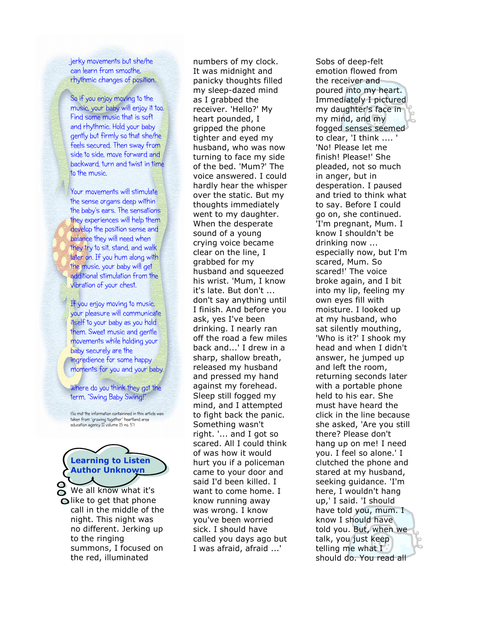jerky movements but she/he can learn from smoothe, rhythmic changes of position.

So if you enjoy moving to the music, your baby will enjoy it too. Find some music that is soft and rhythmic. Hold your baby gently but firmly so that she/he feels secured. Then sway from side to side, move forward and backward, turn and twist in time to the music.

Your movements will stimulate the sense organs deep within the baby's ears. The sensations they experiences will help them develop the position sense and balance they will need when they try to sit, stand, and walk later on. If you hum along with the music, your baby will get additional stimulation from the vibration of your chest.

If you enjoy moving to music, your pleasure will communicate itself to your baby as you hold them. Sweet music and gentle movements while holding your baby securely are the ingredience for some happy moments for you and your baby.

Where do you think they got the term, "Swing Baby Swing!"

(So mot the information containined in this article was taken from "growing together" heartland area education agency II volume 15 no. 5")



We all know what it's  $\bigcirc$  like to get that phone call in the middle of the night. This night was no different. Jerking up to the ringing summons, I focused on the red, illuminated

numbers of my clock. It was midnight and panicky thoughts filled my sleep-dazed mind as I grabbed the receiver. 'Hello?' My heart pounded, I gripped the phone tighter and eyed my husband, who was now turning to face my side of the bed. 'Mum?' The voice answered. I could hardly hear the whisper over the static. But my thoughts immediately went to my daughter. When the desperate sound of a young crying voice became clear on the line, I grabbed for my husband and squeezed his wrist. 'Mum, I know it's late. But don't ... don't say anything until I finish. And before you ask, yes I've been drinking. I nearly ran off the road a few miles back and...' I drew in a sharp, shallow breath, released my husband and pressed my hand against my forehead. Sleep still fogged my mind, and I attempted to fight back the panic. Something wasn't right. '... and I got so scared. All I could think of was how it would hurt you if a policeman came to your door and said I'd been killed. I want to come home. I know running away was wrong. I know you've been worried sick. I should have called you days ago but I was afraid, afraid ...'

Sobs of deep-felt emotion flowed from the receiver and poured into my heart. Immediately I pictured my daughter's face in my mind, and my fogged senses seemed to clear, 'I think .... ' 'No! Please let me finish! Please!' She pleaded, not so much in anger, but in desperation. I paused and tried to think what to say. Before I could go on, she continued. 'I'm pregnant, Mum. I know I shouldn't be drinking now ... especially now, but I'm scared, Mum. So scared!' The voice broke again, and I bit into my lip, feeling my own eyes fill with moisture. I looked up at my husband, who sat silently mouthing, 'Who is it?' I shook my head and when I didn't answer, he jumped up and left the room, returning seconds later with a portable phone held to his ear. She must have heard the click in the line because she asked, 'Are you still there? Please don't hang up on me! I need you. I feel so alone.' I clutched the phone and stared at my husband, seeking guidance. 'I'm here, I wouldn't hang up,' I said. 'I should have told you, mum. I know I should have told you. But, when we talk, you just keep telling me what I should do. You read all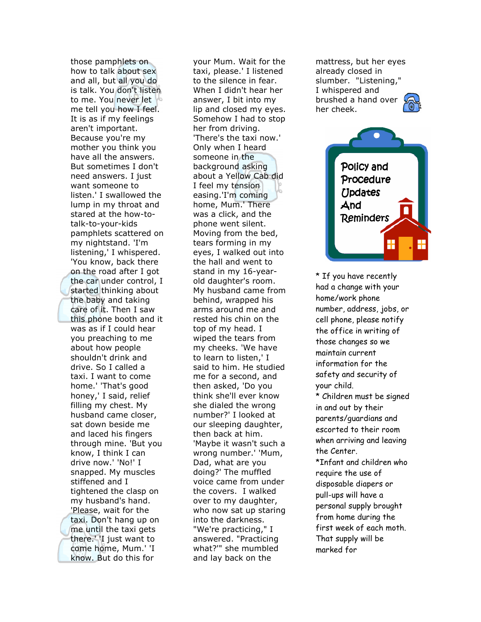those pamphlets on how to talk about sex and all, but all you do is talk. You don't listen to me. You never let me tell you how I feel. It is as if my feelings aren't important. Because you're my mother you think you have all the answers. But sometimes I don't need answers. I just want someone to listen.' I swallowed the lump in my throat and stared at the how-totalk-to-your-kids pamphlets scattered on my nightstand. 'I'm listening,' I whispered. 'You know, back there on the road after I got the car under control, I started thinking about the baby and taking care of it. Then I saw this phone booth and it was as if I could hear you preaching to me about how people shouldn't drink and drive. So I called a taxi. I want to come home.' 'That's good honey,' I said, relief filling my chest. My husband came closer, sat down beside me and laced his fingers through mine. 'But you know, I think I can drive now.' 'No!' I snapped. My muscles stiffened and I tightened the clasp on my husband's hand. 'Please, wait for the taxi. Don't hang up on me until the taxi gets there.' 'I just want to come home, Mum.' 'I know. But do this for

your Mum. Wait for the taxi, please.' I listened to the silence in fear. When I didn't hear her answer, I bit into my lip and closed my eyes. Somehow I had to stop her from driving. 'There's the taxi now.' Only when I heard someone in the background asking about a Yellow Cab did I feel my tension easing.'I'm coming home, Mum.' There was a click, and the phone went silent. Moving from the bed, tears forming in my eyes, I walked out into the hall and went to stand in my 16-yearold daughter's room. My husband came from behind, wrapped his arms around me and rested his chin on the top of my head. I wiped the tears from my cheeks. 'We have to learn to listen,' I said to him. He studied me for a second, and then asked, 'Do you think she'll ever know she dialed the wrong number?' I looked at our sleeping daughter, then back at him. 'Maybe it wasn't such a wrong number.' 'Mum, Dad, what are you doing?' The muffled voice came from under the covers. I walked over to my daughter, who now sat up staring into the darkness. "We're practicing," I answered. "Practicing what?'" she mumbled and lay back on the

mattress, but her eyes already closed in slumber. "Listening," I whispered and brushed a hand over her cheek.



\* If you have recently had a change with your home/work phone number, address, jobs, or cell phone, please notify the office in writing of those changes so we maintain current information for the safety and security of your child. \* Children must be signed in and out by their parents/guardians and escorted to their room when arriving and leaving the Center. \*Infant and children who require the use of disposable diapers or pull-ups will have a personal supply brought from home during the first week of each moth. That supply will be marked for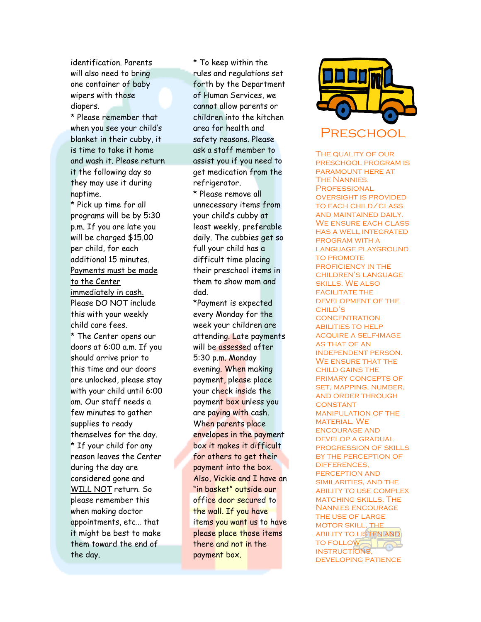identification. Parents will also need to bring one container of baby wipers with those diapers.

\* Please remember that when you see your child's blanket in their cubby, it is time to take it home and wash it. Please return it the following day so they may use it during naptime.

\* Pick up time for all programs will be by 5:30 p.m. If you are late you will be charged \$15.00 per child, for each additional 15 minutes. Payments must be made to the Center immediately in cash. Please DO NOT include this with your weekly child care fees.

\* The Center opens our doors at 6:00 a.m. If you should arrive prior to this time and our doors are unlocked, please stay with your child until 6:00 am. Our staff needs a few minutes to gather supplies to ready themselves for the day. \* If your child for any reason leaves the Center during the day are considered gone and WILL NOT return. So please remember this when making doctor appointments, etc… that it might be best to make them toward the end of the day.

\* To keep within the rules and regulations set forth by the Department of Human Services, we cannot allow parents or children into the kitchen area for health and safety reasons. Please ask a staff member to assist you if you need to get medication from the refrigerator.

\* Please remove all unnecessary items from your child's cubby at least weekly, preferable daily. The cubbies get so full your child has a difficult time placing their preschool items in them to show mom and dad.

\*Payment is expected every Monday for the week your children are attending. Late payments will be assessed after 5:30 p.m. Monday evening. When making payment, please place your check inside the payment box unless you are paying with cash. When parents place envelopes in the payment box it makes it difficult for others to get their payment into the box. Also, Vickie and I have an "in basket" outside our office door secured to the wall. If you have items you want us to have please place those items there and not in the payment box.



THE QUALITY OF OUR preschool program is paramount here at The Nannies. **PROFESSIONAL** oversight is provided to each child/class and maintained daily. We ensure each class has a well integrated program with a language playground **TO PROMOTE** PROFICIENCY IN THE children's language skills. We also **FACILITATE THE** development of the child's **CONCENTRATION ABILITIES TO HELP** acquire a self-image as that of an independent person. WE ENSURE THAT THE child gains the primary concepts of set, mapping, number, and order through **CONSTANT** manipulation of the MATERIAL. WE encourage and develop a gradual progression of skills by the perception of differences, perception and similarities, and the ability to use complex matching skills. The Nannies encourage the use of large motor skill, the ability to listen and TO FOLLOW instructions, developing patience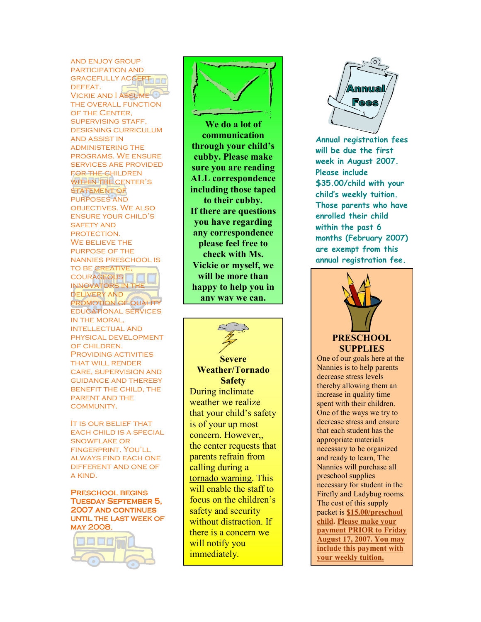and enjoy group participation and **GRACEFULLY ACCEPT THE** DEFEAT. Vickie and I assume the overall function of the Center, supervising staff, designing curriculum and assist in administering the programs. We ensure services are provided for the children WITHIN THE CENTER'S STATEMENT OF purposes and objectives. We also ensure your child's SAFETY AND protection. WE BELIEVE THE purpose of the nannies preschool is TO BE CREATIVE **COURAGEOUS** innovators in the delivery and PROMOTION OF QUALITY educational services in the moral, intellectual and physical development of children. PROVIDING ACTIVITIES that will render care, supervision and guidance and thereby benefit the child, the parent and the community.

It is our belief that each child is a special snowflake or fingerprint. You'll always find each one different and one of a kind.

Preschool begins Tuesday September 5, 2007 AND CONTINUES until the last week of may 2008.





We do a lot of communication through your child's cubby. Please make sure you are reading ALL correspondence including those taped to their cubby. If there are questions you have regarding any correspondence please feel free to check with Ms. Vickie or myself, we will be more than happy to help you in any way we can.



**Severe** Weather/Tornado **Safety** During inclimate weather we realize that your child's safety is of your up most concern. However,, the center requests that parents refrain from calling during a tornado warning. This will enable the staff to focus on the children's safety and security without distraction. If there is a concern we will notify you immediately.



Annual registration fees will be due the first week in August 2007. Please include \$35.00/child with your child's weekly tuition. Those parents who have enrolled their child within the past 6 months (February 2007) are exempt from this annual registration fee.



i

One of our goals here at the Nannies is to help parents decrease stress levels thereby allowing them an increase in quality time spent with their children. One of the ways we try to decrease stress and ensure that each student has the appropriate materials necessary to be organized and ready to learn, The Nannies will purchase all preschool supplies necessary for student in the Firefly and Ladybug rooms. The cost of this supply packet is \$15.00/preschool child. Please make your payment PRIOR to Friday August 17, 2007. You may include this payment with your weekly tuition.